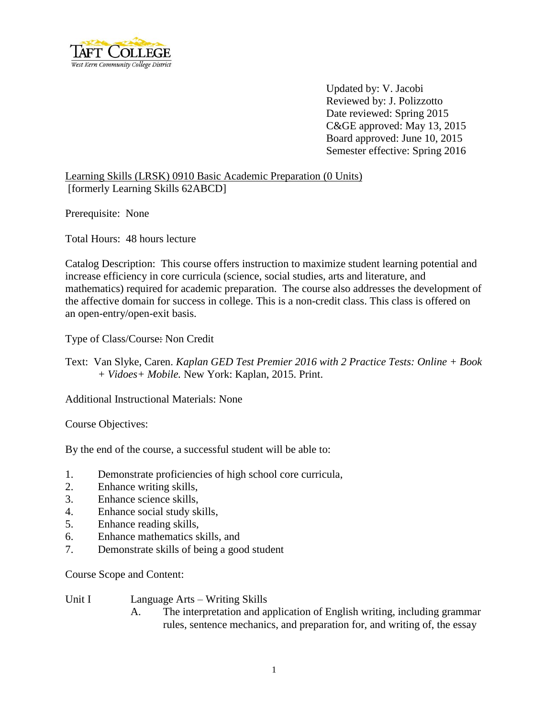

Updated by: V. Jacobi Reviewed by: J. Polizzotto Date reviewed: Spring 2015 C&GE approved: May 13, 2015 Board approved: June 10, 2015 Semester effective: Spring 2016

Learning Skills (LRSK) 0910 Basic Academic Preparation (0 Units) [formerly Learning Skills 62ABCD]

Prerequisite: None

Total Hours: 48 hours lecture

Catalog Description: This course offers instruction to maximize student learning potential and increase efficiency in core curricula (science, social studies, arts and literature, and mathematics) required for academic preparation. The course also addresses the development of the affective domain for success in college. This is a non-credit class. This class is offered on an open-entry/open-exit basis.

Type of Class/Course: Non Credit

Text: Van Slyke, Caren. *Kaplan GED Test Premier 2016 with 2 Practice Tests: Online + Book + Vidoes+ Mobile.* New York: Kaplan, 2015. Print.

Additional Instructional Materials: None

Course Objectives:

By the end of the course, a successful student will be able to:

- 1. Demonstrate proficiencies of high school core curricula,
- 2. Enhance writing skills,
- 3. Enhance science skills,
- 4. Enhance social study skills,
- 5. Enhance reading skills,
- 6. Enhance mathematics skills, and
- 7. Demonstrate skills of being a good student

Course Scope and Content:

| Unit I | Language Arts – Writing Skills |  |
|--------|--------------------------------|--|
|--------|--------------------------------|--|

A. The interpretation and application of English writing, including grammar rules, sentence mechanics, and preparation for, and writing of, the essay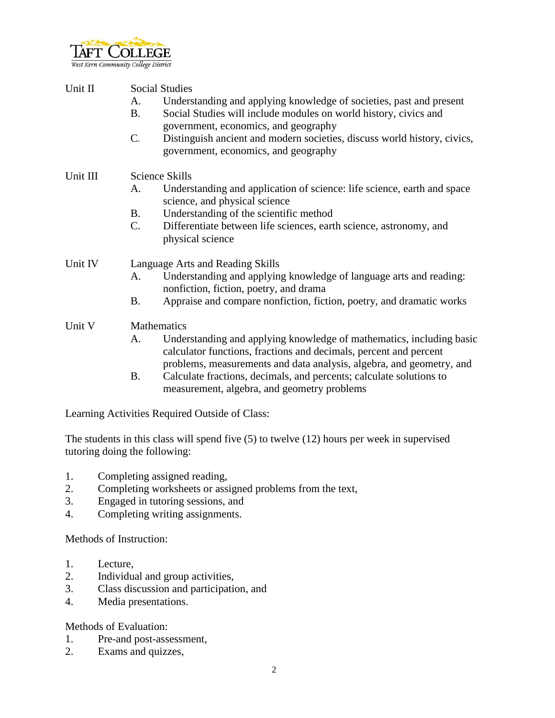

| Unit II  | <b>Social Studies</b><br>Understanding and applying knowledge of societies, past and present<br>A.<br><b>B.</b><br>Social Studies will include modules on world history, civics and<br>government, economics, and geography<br>$C$ .<br>Distinguish ancient and modern societies, discuss world history, civics,<br>government, economics, and geography |  |  |
|----------|----------------------------------------------------------------------------------------------------------------------------------------------------------------------------------------------------------------------------------------------------------------------------------------------------------------------------------------------------------|--|--|
| Unit III | Science Skills                                                                                                                                                                                                                                                                                                                                           |  |  |
|          | Understanding and application of science: life science, earth and space<br>A.<br>science, and physical science                                                                                                                                                                                                                                           |  |  |
|          | Understanding of the scientific method<br><b>B.</b>                                                                                                                                                                                                                                                                                                      |  |  |
|          | Differentiate between life sciences, earth science, astronomy, and<br>$\mathcal{C}$ .<br>physical science                                                                                                                                                                                                                                                |  |  |
| Unit IV  | Language Arts and Reading Skills                                                                                                                                                                                                                                                                                                                         |  |  |
|          | Understanding and applying knowledge of language arts and reading:<br>A.<br>nonfiction, fiction, poetry, and drama                                                                                                                                                                                                                                       |  |  |
|          | Appraise and compare nonfiction, fiction, poetry, and dramatic works<br><b>B.</b>                                                                                                                                                                                                                                                                        |  |  |
| Unit V   | Mathematics                                                                                                                                                                                                                                                                                                                                              |  |  |
|          | Understanding and applying knowledge of mathematics, including basic<br>A.<br>calculator functions, fractions and decimals, percent and percent<br>problems, measurements and data analysis, algebra, and geometry, and                                                                                                                                  |  |  |
|          | <b>B.</b><br>Calculate fractions, decimals, and percents; calculate solutions to<br>measurement, algebra, and geometry problems                                                                                                                                                                                                                          |  |  |

Learning Activities Required Outside of Class:

The students in this class will spend five (5) to twelve (12) hours per week in supervised tutoring doing the following:

- 1. Completing assigned reading,
- 2. Completing worksheets or assigned problems from the text,
- 3. Engaged in tutoring sessions, and
- 4. Completing writing assignments.

Methods of Instruction:

- 1. Lecture,
- 2. Individual and group activities,
- 3. Class discussion and participation, and
- 4. Media presentations.

Methods of Evaluation:

- 1. Pre-and post-assessment,
- 2. Exams and quizzes,